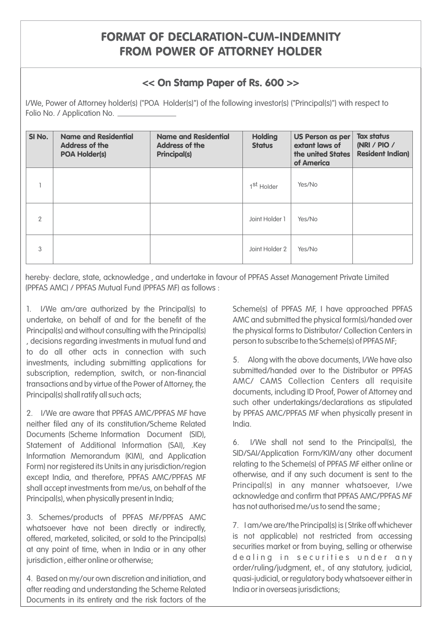## FORMAT OF DECLARATION-CUM-INDEMNITY FROM POWER OF ATTORNEY HOLDER

## << On Stamp Paper of Rs. 600 >>

I/We, Power of Attorney holder(s) ("POA Holder(s)") of the following investor(s) ("Principal(s)") with respect to Folio No. / Application No.

| SI No.        | <b>Name and Residential</b><br><b>Address of the</b><br><b>POA Holder(s)</b> | <b>Name and Residential</b><br><b>Address of the</b><br><b>Principal(s)</b> | <b>Holding</b><br><b>Status</b> | <b>US Person as per</b><br>extant laws of<br>the united States<br>of America | <b>Tax status</b><br>(NRI / PIO /<br><b>Resident Indian)</b> |
|---------------|------------------------------------------------------------------------------|-----------------------------------------------------------------------------|---------------------------------|------------------------------------------------------------------------------|--------------------------------------------------------------|
|               |                                                                              |                                                                             | 1 <sup>st</sup> Holder          | Yes/No                                                                       |                                                              |
| $\mathcal{P}$ |                                                                              |                                                                             | Joint Holder 1                  | Yes/No                                                                       |                                                              |
| 3             |                                                                              |                                                                             | Joint Holder 2                  | Yes/No                                                                       |                                                              |

hereby· declare, state, acknowledge , and undertake in favour of PPFAS Asset Management Private Limited (PPFAS AMC) / PPFAS Mutual Fund (PPFAS MF) as follows :

1. I/We am/are authorized by the Principal(s) to Scheme(s) of PPFAS MF, I have approached PPFAS undertake, on behalf of and for the benefit of the AMC and submitted the physical form(s)/handed over Principal(s) and without consulting with the Principal(s) the physical forms to Distributor/ Collection Centers in , decisions regarding investments in mutual fund and person to subscribe to the Scheme(s) of PPFAS MF; to do all other acts in connection with such 5. Along with the above documents, I/We have also investments, including submitting applications for subscription, redemption, switch, or non-financial submitted/handed over to the Distributor or PPFAS<br>transactions and buyirtuo of the Dower of Attorney the AMC/ CAMS Collection Centers all requisite transactions and by virtue of the Power of Attorney, the Principal(s) shall ratify all such acts; example and principal documents, including ID Proof, Power of Attorney and

2. I/We are aware that PPFAS AMC/PPFAS MF have by PPFAS AMC/PPFAS MF when physically present in neither filed any of its constitution/Scheme Related and India. Documents (Scheme Information Document (SID), Statement of Additional Information (SAI), .Key 6. I/We shall not send to the Principal(s), the Information Momorandum (KIAI) and Annlication SID/SAI/Application Form/KIM/any other document Information Memorandum (KIM), and Application SID/SAI/Application Form/KIM/any other document<br>Internal per required its Units in any jurisdiction (region relating to the Scheme(s) of PPFAS MF either online or Form) nor registered its Units in any jurisdiction/region Feldting to the Scheme(s) of PPFAS MF either online or<br>Form India, and therefore, PPFAS AMC/PPFAS MF, The Otherwise, and if any such document is sent to the except India, and therefore, PPFAS AMC/PPFAS MF<br>shall accept investments from mo/us an behalf of the experimentalls) in any manner whatsoever. I/we shall accept investments from me/us, on behalf of the entity of Principal(s) in any manner whatsoever, I/we shall accept investments from me/us, on behalf of the entity of  $\alpha$  acknowledge and confirm that PPFAS AMC/PPFAS Principal(s), when physically present in India;

3. Schemes/products of PPFAS MF/PPFAS AMC whatsoever have not been directly or indirectly,  $\frac{7.1 \text{ am/we are/the Principal(s)}$  is (Strike off whichever offered marketed solicited or sold to the Principal(s) is not applicable) not restricted from accessing offered, marketed, solicited, or sold to the Principal(s) and applicable) not restricted from accessing of applicable in the Principal (s) and the Mississipping of the Principal (s) of the Securities market or from buying, at any point of time, when in India or in any other jurisdiction , either online or otherwise;

4. Based on my/our own discretion and initiation, and quasi-judicial, or regulatory body whatsoever either in after reading and understanding the Scheme Related India or in overseas jurisdictions; Documents in its entirety and the risk factors of the

such other undertakings/declarations as stipulated

has not authorised me/us to send the same ;

de alina in securities under any order/ruling/judgment, et., of any statutory, judicial,